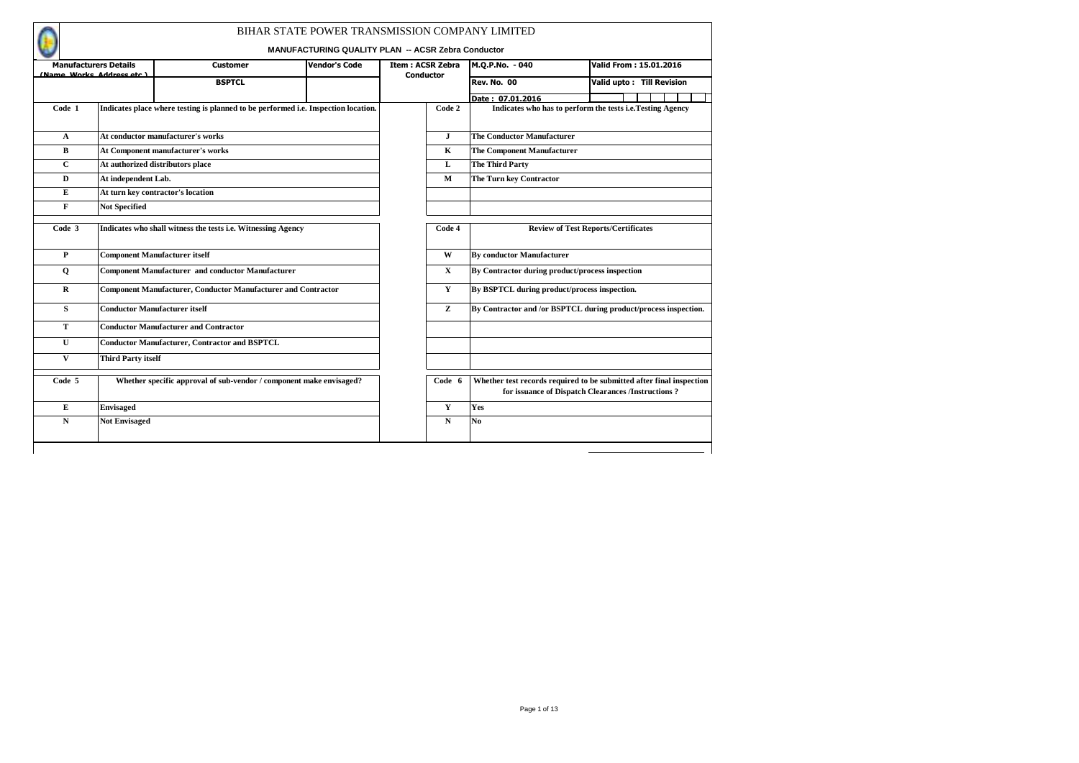|              |                                                           |                                                                                    | BIHAR STATE POWER TRANSMISSION COMPANY LIMITED     |                         |                  |                                                 |                                                                                                                             |
|--------------|-----------------------------------------------------------|------------------------------------------------------------------------------------|----------------------------------------------------|-------------------------|------------------|-------------------------------------------------|-----------------------------------------------------------------------------------------------------------------------------|
|              |                                                           |                                                                                    | MANUFACTURING QUALITY PLAN -- ACSR Zebra Conductor |                         |                  |                                                 |                                                                                                                             |
|              | <b>Manufacturers Details</b><br>(Name Works Address etc.) | <b>Customer</b>                                                                    | <b>Vendor's Code</b>                               | <b>Item: ACSR Zebra</b> | <b>Conductor</b> | M.Q.P.No. - 040                                 | Valid From: 15.01.2016                                                                                                      |
|              |                                                           | <b>BSPTCL</b>                                                                      |                                                    |                         |                  | <b>Rev. No. 00</b>                              | Valid upto: Till Revision                                                                                                   |
|              |                                                           |                                                                                    |                                                    |                         |                  | Date: 07.01.2016                                |                                                                                                                             |
| Code 1       |                                                           | Indicates place where testing is planned to be performed i.e. Inspection location. |                                                    |                         | Code 2           |                                                 | Indicates who has to perform the tests i.e. Testing Agency                                                                  |
| $\mathbf{A}$ |                                                           | At conductor manufacturer's works                                                  |                                                    |                         | J                | <b>The Conductor Manufacturer</b>               |                                                                                                                             |
| В            |                                                           | At Component manufacturer's works                                                  |                                                    |                         | $\mathbf K$      | <b>The Component Manufacturer</b>               |                                                                                                                             |
| $\mathbf{C}$ |                                                           | At authorized distributors place                                                   |                                                    |                         | L                | The Third Party                                 |                                                                                                                             |
| D            | At independent Lab.                                       |                                                                                    |                                                    |                         | $\mathbf{M}$     | The Turn key Contractor                         |                                                                                                                             |
| Е            |                                                           | At turn key contractor's location                                                  |                                                    |                         |                  |                                                 |                                                                                                                             |
| F            | <b>Not Specified</b>                                      |                                                                                    |                                                    |                         |                  |                                                 |                                                                                                                             |
| Code 3       |                                                           | Indicates who shall witness the tests i.e. Witnessing Agency                       |                                                    |                         | Code 4           |                                                 | <b>Review of Test Reports/Certificates</b>                                                                                  |
| P            |                                                           | <b>Component Manufacturer itself</b>                                               |                                                    |                         | W                | <b>By conductor Manufacturer</b>                |                                                                                                                             |
| $\mathbf Q$  |                                                           | <b>Component Manufacturer and conductor Manufacturer</b>                           |                                                    |                         | $\mathbf x$      | By Contractor during product/process inspection |                                                                                                                             |
| $\mathbf{R}$ |                                                           | <b>Component Manufacturer, Conductor Manufacturer and Contractor</b>               |                                                    |                         | Y                | By BSPTCL during product/process inspection.    |                                                                                                                             |
| S            |                                                           | <b>Conductor Manufacturer itself</b>                                               |                                                    |                         | z                |                                                 | By Contractor and /or BSPTCL during product/process inspection.                                                             |
| T            |                                                           | <b>Conductor Manufacturer and Contractor</b>                                       |                                                    |                         |                  |                                                 |                                                                                                                             |
| U            |                                                           | <b>Conductor Manufacturer, Contractor and BSPTCL</b>                               |                                                    |                         |                  |                                                 |                                                                                                                             |
| V            | <b>Third Party itself</b>                                 |                                                                                    |                                                    |                         |                  |                                                 |                                                                                                                             |
| Code 5       |                                                           | Whether specific approval of sub-vendor / component make envisaged?                |                                                    |                         | Code 6           |                                                 | Whether test records required to be submitted after final inspection<br>for issuance of Dispatch Clearances /Instructions ? |
| Е            | <b>Envisaged</b>                                          |                                                                                    |                                                    |                         | Y                | Yes                                             |                                                                                                                             |
| N            | <b>Not Envisaged</b>                                      |                                                                                    |                                                    |                         | $\mathbf N$      | No.                                             |                                                                                                                             |
|              |                                                           |                                                                                    |                                                    |                         |                  |                                                 |                                                                                                                             |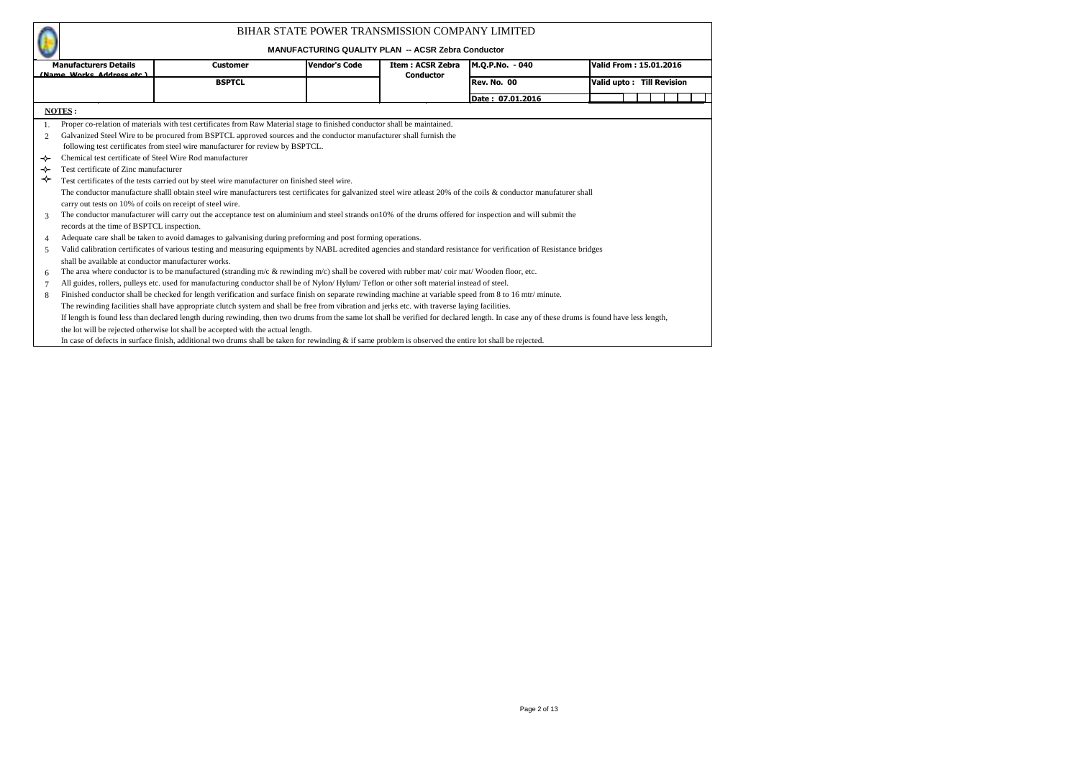|        |                                                           |                                                                                                                                                                                              | BIHAR STATE POWER TRANSMISSION COMPANY LIMITED<br><b>MANUFACTURING QUALITY PLAN -- ACSR Zebra Conductor</b> |                         |                    |                           |  |
|--------|-----------------------------------------------------------|----------------------------------------------------------------------------------------------------------------------------------------------------------------------------------------------|-------------------------------------------------------------------------------------------------------------|-------------------------|--------------------|---------------------------|--|
|        | <b>Manufacturers Details</b>                              | <b>Customer</b>                                                                                                                                                                              | <b>Vendor's Code</b>                                                                                        | <b>Item: ACSR Zebra</b> | M.Q.P.No. - 040    | Valid From: 15.01.2016    |  |
|        | (Name Works Address etc.)                                 | <b>BSPTCL</b>                                                                                                                                                                                |                                                                                                             | Conductor               | <b>Rev. No. 00</b> | Valid upto: Till Revision |  |
|        |                                                           |                                                                                                                                                                                              |                                                                                                             |                         | Date: 07.01.2016   |                           |  |
|        | NOTES:                                                    |                                                                                                                                                                                              |                                                                                                             |                         |                    |                           |  |
|        |                                                           | Proper co-relation of materials with test certificates from Raw Material stage to finished conductor shall be maintained.                                                                    |                                                                                                             |                         |                    |                           |  |
|        |                                                           |                                                                                                                                                                                              |                                                                                                             |                         |                    |                           |  |
| 2      |                                                           | Galvanized Steel Wire to be procured from BSPTCL approved sources and the conductor manufacturer shall furnish the                                                                           |                                                                                                             |                         |                    |                           |  |
|        |                                                           | following test certificates from steel wire manufacturer for review by BSPTCL.                                                                                                               |                                                                                                             |                         |                    |                           |  |
| ↞      |                                                           | Chemical test certificate of Steel Wire Rod manufacturer                                                                                                                                     |                                                                                                             |                         |                    |                           |  |
| ⊹<br>↛ | Test certificate of Zinc manufacturer                     |                                                                                                                                                                                              |                                                                                                             |                         |                    |                           |  |
|        |                                                           | Test certificates of the tests carried out by steel wire manufacturer on finished steel wire.                                                                                                |                                                                                                             |                         |                    |                           |  |
|        |                                                           | The conductor manufacture shalll obtain steel wire manufacturers test certificates for galvanized steel wire atleast 20% of the coils & conductor manufaturer shall                          |                                                                                                             |                         |                    |                           |  |
|        | carry out tests on 10% of coils on receipt of steel wire. |                                                                                                                                                                                              |                                                                                                             |                         |                    |                           |  |
| 3      |                                                           | The conductor manufacturer will carry out the acceptance test on aluminium and steel strands on 10% of the drums offered for inspection and will submit the                                  |                                                                                                             |                         |                    |                           |  |
|        | records at the time of BSPTCL inspection.                 |                                                                                                                                                                                              |                                                                                                             |                         |                    |                           |  |
| 4      |                                                           | Adequate care shall be taken to avoid damages to galvanising during preforming and post forming operations.                                                                                  |                                                                                                             |                         |                    |                           |  |
| 5      |                                                           | Valid calibration certificates of various testing and measuring equipments by NABL acredited agencies and standard resistance for verification of Resistance bridges                         |                                                                                                             |                         |                    |                           |  |
|        | shall be available at conductor manufacturer works.       |                                                                                                                                                                                              |                                                                                                             |                         |                    |                           |  |
| 6      |                                                           | The area where conductor is to be manufactured (stranding m/c & rewinding m/c) shall be covered with rubber mat/ coir mat/ Wooden floor, etc.                                                |                                                                                                             |                         |                    |                           |  |
| 7      |                                                           | All guides, rollers, pulleys etc. used for manufacturing conductor shall be of Nylon/Hylum/Teflon or other soft material instead of steel.                                                   |                                                                                                             |                         |                    |                           |  |
| 8      |                                                           | Finished conductor shall be checked for length verification and surface finish on separate rewinding machine at variable speed from 8 to 16 mtr/ minute.                                     |                                                                                                             |                         |                    |                           |  |
|        |                                                           | The rewinding facilities shall have appropriate clutch system and shall be free from vibration and jerks etc. with traverse laying facilities.                                               |                                                                                                             |                         |                    |                           |  |
|        |                                                           | If length is found less than declared length during rewinding, then two drums from the same lot shall be verified for declared length. In case any of these drums is found have less length, |                                                                                                             |                         |                    |                           |  |
|        |                                                           | the lot will be rejected otherwise lot shall be accepted with the actual length.                                                                                                             |                                                                                                             |                         |                    |                           |  |
|        |                                                           | In case of defects in surface finish, additional two drums shall be taken for rewinding & if same problem is observed the entire lot shall be rejected.                                      |                                                                                                             |                         |                    |                           |  |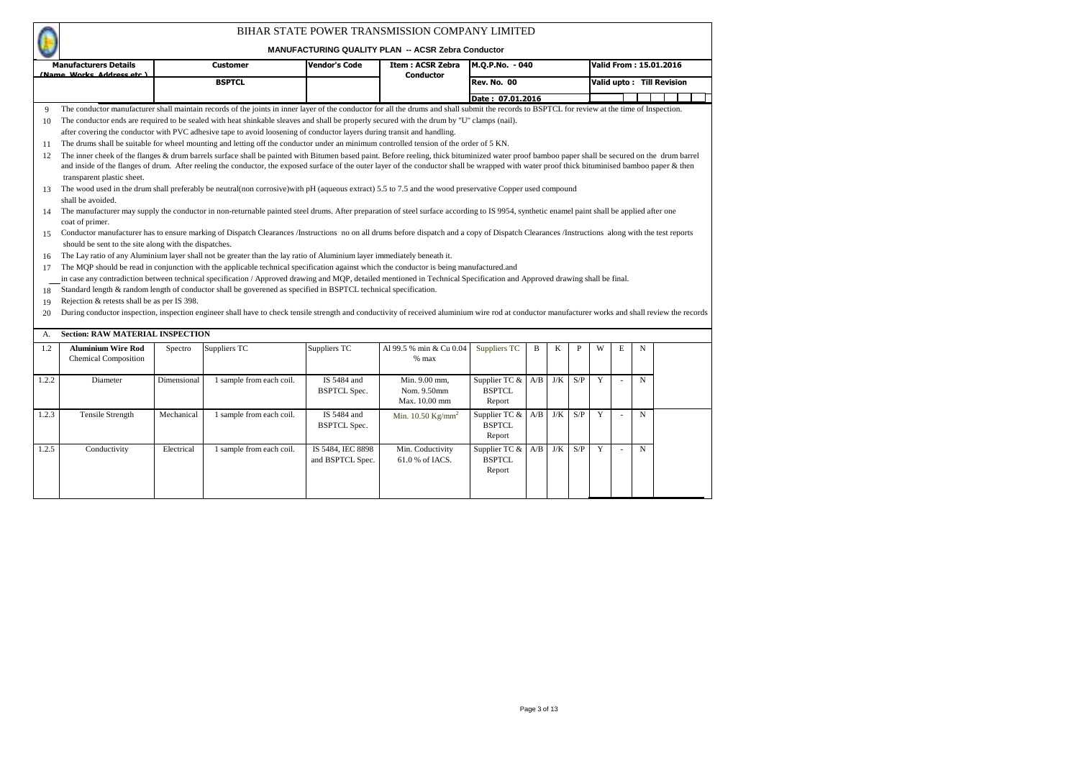|       |                                                          |             |                                                                                                                                                                                                                                                                                                                                                                                                    |                                       | BIHAR STATE POWER TRANSMISSION COMPANY LIMITED<br><b>MANUFACTURING QUALITY PLAN -- ACSR Zebra Conductor</b> |                                          |     |     |     |   |                          |             |                           |
|-------|----------------------------------------------------------|-------------|----------------------------------------------------------------------------------------------------------------------------------------------------------------------------------------------------------------------------------------------------------------------------------------------------------------------------------------------------------------------------------------------------|---------------------------------------|-------------------------------------------------------------------------------------------------------------|------------------------------------------|-----|-----|-----|---|--------------------------|-------------|---------------------------|
|       | <b>Manufacturers Details</b>                             |             | <b>Customer</b>                                                                                                                                                                                                                                                                                                                                                                                    | <b>Vendor's Code</b>                  | <b>Item: ACSR Zebra</b>                                                                                     | M.Q.P.No. - 040                          |     |     |     |   |                          |             | Valid From: 15.01.2016    |
|       | (Name Works Address etc.)                                |             | <b>BSPTCL</b>                                                                                                                                                                                                                                                                                                                                                                                      |                                       | <b>Conductor</b>                                                                                            | <b>Rev. No. 00</b>                       |     |     |     |   |                          |             | Valid upto: Till Revision |
|       |                                                          |             |                                                                                                                                                                                                                                                                                                                                                                                                    |                                       |                                                                                                             | Date: 07.01.2016                         |     |     |     |   |                          |             |                           |
| 9     |                                                          |             | The conductor manufacturer shall maintain records of the joints in inner layer of the conductor for all the drums and shall submit the records to BSPTCL for review at the time of Inspection.                                                                                                                                                                                                     |                                       |                                                                                                             |                                          |     |     |     |   |                          |             |                           |
| 10    |                                                          |             | The conductor ends are required to be sealed with heat shinkable sleaves and shall be properly secured with the drum by "U" clamps (nail).                                                                                                                                                                                                                                                         |                                       |                                                                                                             |                                          |     |     |     |   |                          |             |                           |
|       |                                                          |             | after covering the conductor with PVC adhesive tape to avoid loosening of conductor layers during transit and handling.                                                                                                                                                                                                                                                                            |                                       |                                                                                                             |                                          |     |     |     |   |                          |             |                           |
| 11    |                                                          |             | The drums shall be suitable for wheel mounting and letting off the conductor under an minimum controlled tension of the order of 5 KN.                                                                                                                                                                                                                                                             |                                       |                                                                                                             |                                          |     |     |     |   |                          |             |                           |
| 12    | transparent plastic sheet.                               |             | The inner cheek of the flanges & drum barrels surface shall be painted with Bitumen based paint. Before reeling, thick bituminized water proof bamboo paper shall be secured on the drum barrel<br>and inside of the flanges of drum. After reeling the conductor, the exposed surface of the outer layer of the conductor shall be wrapped with water proof thick bituminised bamboo paper & then |                                       |                                                                                                             |                                          |     |     |     |   |                          |             |                           |
| 13    | shall be avoided.                                        |             | The wood used in the drum shall preferably be neutral(non corrosive)with pH (aqueous extract) 5.5 to 7.5 and the wood preservative Copper used compound                                                                                                                                                                                                                                            |                                       |                                                                                                             |                                          |     |     |     |   |                          |             |                           |
| 14    | coat of primer.                                          |             | The manufacturer may supply the conductor in non-returnable painted steel drums. After preparation of steel surface according to IS 9954, synthetic enamel paint shall be applied after one                                                                                                                                                                                                        |                                       |                                                                                                             |                                          |     |     |     |   |                          |             |                           |
| 15    |                                                          |             | Conductor manufacturer has to ensure marking of Dispatch Clearances /Instructions no on all drums before dispatch and a copy of Dispatch Clearances /Instructions along with the test reports                                                                                                                                                                                                      |                                       |                                                                                                             |                                          |     |     |     |   |                          |             |                           |
|       | should be sent to the site along with the dispatches.    |             |                                                                                                                                                                                                                                                                                                                                                                                                    |                                       |                                                                                                             |                                          |     |     |     |   |                          |             |                           |
| 16    |                                                          |             | The Lay ratio of any Aluminium layer shall not be greater than the lay ratio of Aluminium layer immediately beneath it.                                                                                                                                                                                                                                                                            |                                       |                                                                                                             |                                          |     |     |     |   |                          |             |                           |
| 17    |                                                          |             | The MQP should be read in conjunction with the applicable technical specification against which the conductor is being manufactured and                                                                                                                                                                                                                                                            |                                       |                                                                                                             |                                          |     |     |     |   |                          |             |                           |
|       |                                                          |             | in case any contradiction between technical specification / Approved drawing and MQP, detailed mentioned in Technical Specification and Approved drawing shall be final.                                                                                                                                                                                                                           |                                       |                                                                                                             |                                          |     |     |     |   |                          |             |                           |
| 18    |                                                          |             | Standard length & random length of conductor shall be goverened as specified in BSPTCL technical specification.                                                                                                                                                                                                                                                                                    |                                       |                                                                                                             |                                          |     |     |     |   |                          |             |                           |
| 19    | Rejection & retests shall be as per IS 398.              |             |                                                                                                                                                                                                                                                                                                                                                                                                    |                                       |                                                                                                             |                                          |     |     |     |   |                          |             |                           |
| 20    |                                                          |             | During conductor inspection, inspection engineer shall have to check tensile strength and conductivity of received aluminium wire rod at conductor manufacturer works and shall review the records                                                                                                                                                                                                 |                                       |                                                                                                             |                                          |     |     |     |   |                          |             |                           |
| А.    | <b>Section: RAW MATERIAL INSPECTION</b>                  |             |                                                                                                                                                                                                                                                                                                                                                                                                    |                                       |                                                                                                             |                                          |     |     |     |   |                          |             |                           |
|       |                                                          |             |                                                                                                                                                                                                                                                                                                                                                                                                    |                                       |                                                                                                             |                                          |     |     |     |   |                          |             |                           |
| 1.2   | <b>Aluminium Wire Rod</b><br><b>Chemical Composition</b> | Spectro     | Suppliers TC                                                                                                                                                                                                                                                                                                                                                                                       | Suppliers TC                          | Al 99.5 % min & Cu 0.04<br>$%$ max                                                                          | Suppliers TC                             | B   | K   | P   | W | E                        | N           |                           |
| 1.2.2 | Diameter                                                 | Dimensional | 1 sample from each coil.                                                                                                                                                                                                                                                                                                                                                                           | IS 5484 and                           | Min. 9.00 mm,                                                                                               | Supplier TC &                            | A/B | J/K | S/P | Y | $\overline{\phantom{a}}$ | N           |                           |
|       |                                                          |             |                                                                                                                                                                                                                                                                                                                                                                                                    | <b>BSPTCL Spec.</b>                   | Nom. 9.50mm<br>Max. 10.00 mm                                                                                | <b>BSPTCL</b><br>Report                  |     |     |     |   |                          |             |                           |
| 1.2.3 | <b>Tensile Strength</b>                                  | Mechanical  | 1 sample from each coil.                                                                                                                                                                                                                                                                                                                                                                           | IS 5484 and<br><b>BSPTCL Spec.</b>    | Min. $10.50$ Kg/mm <sup>2</sup>                                                                             | Supplier TC &<br><b>BSPTCL</b><br>Report | A/B | J/K | S/P | Y | $\overline{\phantom{a}}$ | N           |                           |
| 1.2.5 | Conductivity                                             | Electrical  | 1 sample from each coil.                                                                                                                                                                                                                                                                                                                                                                           | IS 5484, IEC 8898<br>and BSPTCL Spec. | Min. Coductivity<br>61.0 % of IACS.                                                                         | Supplier TC &<br><b>BSPTCL</b><br>Report | A/B | J/K | S/P | Y |                          | $\mathbf N$ |                           |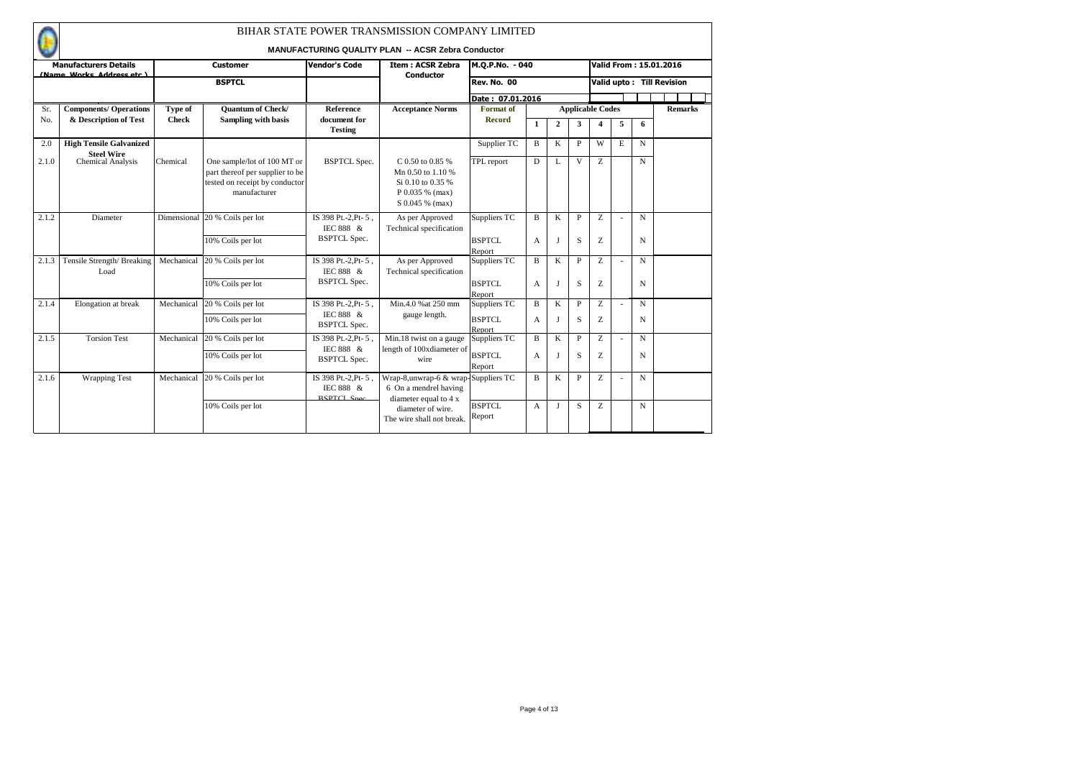|       |                                              |              |                                                                                                                  |                                                         | BIHAR STATE POWER TRANSMISSION COMPANY LIMITED<br><b>MANUFACTURING QUALITY PLAN -- ACSR Zebra Conductor</b> |                                         |                   |                |                   |                         |   |                  |                                  |
|-------|----------------------------------------------|--------------|------------------------------------------------------------------------------------------------------------------|---------------------------------------------------------|-------------------------------------------------------------------------------------------------------------|-----------------------------------------|-------------------|----------------|-------------------|-------------------------|---|------------------|----------------------------------|
|       | <b>Manufacturers Details</b>                 |              | <b>Customer</b>                                                                                                  | <b>Vendor's Code</b>                                    | <b>Item: ACSR Zebra</b>                                                                                     | M.Q.P.No. - 040                         |                   |                |                   |                         |   |                  | <b>Valid From: 15.01.2016</b>    |
|       | (Name Works Address etc.)                    |              | <b>BSPTCL</b>                                                                                                    |                                                         | <b>Conductor</b>                                                                                            | <b>Rev. No. 00</b>                      |                   |                |                   |                         |   |                  | <b>Valid upto: Till Revision</b> |
|       |                                              |              |                                                                                                                  |                                                         |                                                                                                             | Date: 07.01.2016                        |                   |                |                   |                         |   |                  |                                  |
| Sr.   | <b>Components/ Operations</b>                | Type of      | <b>Quantum of Check/</b>                                                                                         | Reference                                               | <b>Acceptance Norms</b>                                                                                     | <b>Format</b> of                        |                   |                |                   | <b>Applicable Codes</b> |   |                  | <b>Remarks</b>                   |
| No.   | & Description of Test                        | <b>Check</b> | Sampling with basis                                                                                              | document for<br><b>Testing</b>                          |                                                                                                             | <b>Record</b>                           | $\mathbf{1}$      | $\overline{2}$ | 3                 | $\boldsymbol{\Lambda}$  | 5 | 6                |                                  |
| 2.0   | <b>High Tensile Galvanized</b><br>Steel Wire |              |                                                                                                                  |                                                         |                                                                                                             | Supplier TC                             | B                 | K              | P                 | W                       | E | N                |                                  |
| 2.1.0 | <b>Chemical Analysis</b>                     | Chemical     | One sample/lot of 100 MT or<br>part thereof per supplier to be<br>tested on receipt by conductor<br>manufacturer | <b>BSPTCL Spec.</b>                                     | C 0.50 to 0.85 %<br>Mn 0.50 to 1.10 %<br>Si 0.10 to 0.35 %<br>P 0.035 % (max)<br>S 0.045 % (max)            | TPL report                              | D                 | L              | $\mathbf{V}$      | Z                       |   | N                |                                  |
| 2.1.2 | Diameter                                     | Dimensional  | 20 % Coils per lot<br>10% Coils per lot                                                                          | IS 398 Pt.-2.Pt-5.<br>IEC 888 &<br><b>BSPTCL Spec.</b>  | As per Approved<br>Technical specification                                                                  | Suppliers TC<br><b>BSPTCL</b>           | B<br>A            | K<br>I         | P<br>S            | Z<br>Z                  |   | $\mathbf N$<br>N |                                  |
| 2.1.3 | Tensile Strength/Breaking<br>Load            | Mechanical   | 20 % Coils per lot<br>10% Coils per lot                                                                          | IS 398 Pt.-2, Pt-5,<br>IEC 888 &<br><b>BSPTCL Spec.</b> | As per Approved<br>Technical specification                                                                  | Report<br>Suppliers TC<br><b>BSPTCL</b> | $\mathbf{B}$<br>A | K<br>I         | $\mathbf{P}$<br>S | Z<br>Z                  |   | $\mathbf N$<br>N |                                  |
|       |                                              |              |                                                                                                                  |                                                         |                                                                                                             | Report                                  |                   |                |                   |                         |   |                  |                                  |
| 2.1.4 | Elongation at break                          | Mechanical   | 20 % Coils per lot<br>10% Coils per lot                                                                          | IS 398 Pt.-2, Pt-5,<br>IEC 888 &<br><b>BSPTCL Spec.</b> | Min.4.0 % at 250 mm<br>gauge length.                                                                        | Suppliers TC<br>BSPTCL<br>Report        | $\mathbf{B}$<br>A | K<br>I         | P<br>S            | Z<br>Z                  |   | $\mathbf N$<br>N |                                  |
| 2.1.5 | <b>Torsion Test</b>                          | Mechanical   | 20 % Coils per lot                                                                                               | IS 398 Pt.-2.Pt-5.                                      | Min.18 twist on a gauge                                                                                     | Suppliers TC                            | B                 | K              | P                 | Z                       |   | N                |                                  |
|       |                                              |              | 10% Coils per lot                                                                                                | IEC 888 &<br><b>BSPTCL Spec.</b>                        | length of 100xdiameter of<br>wire                                                                           | <b>BSPTCL</b><br>Report                 | $\overline{A}$    |                | S                 | Z                       |   | N                |                                  |
| 2.1.6 | <b>Wrapping Test</b>                         | Mechanical   | 20 % Coils per lot                                                                                               | IS 398 Pt.-2, Pt-5,<br>IEC 888 &<br><b>RSPTCL Spec</b>  | Wrap-8, unwrap-6 & wrap-Suppliers TC<br>6 On a mendrel having<br>diameter equal to 4 x                      |                                         | B                 | K              | P                 | Z                       |   | $\mathbf N$      |                                  |
|       |                                              |              | 10% Coils per lot                                                                                                |                                                         | diameter of wire.<br>The wire shall not break.                                                              | <b>BSPTCL</b><br>Report                 | A                 | I              | S                 | Z                       |   | N                |                                  |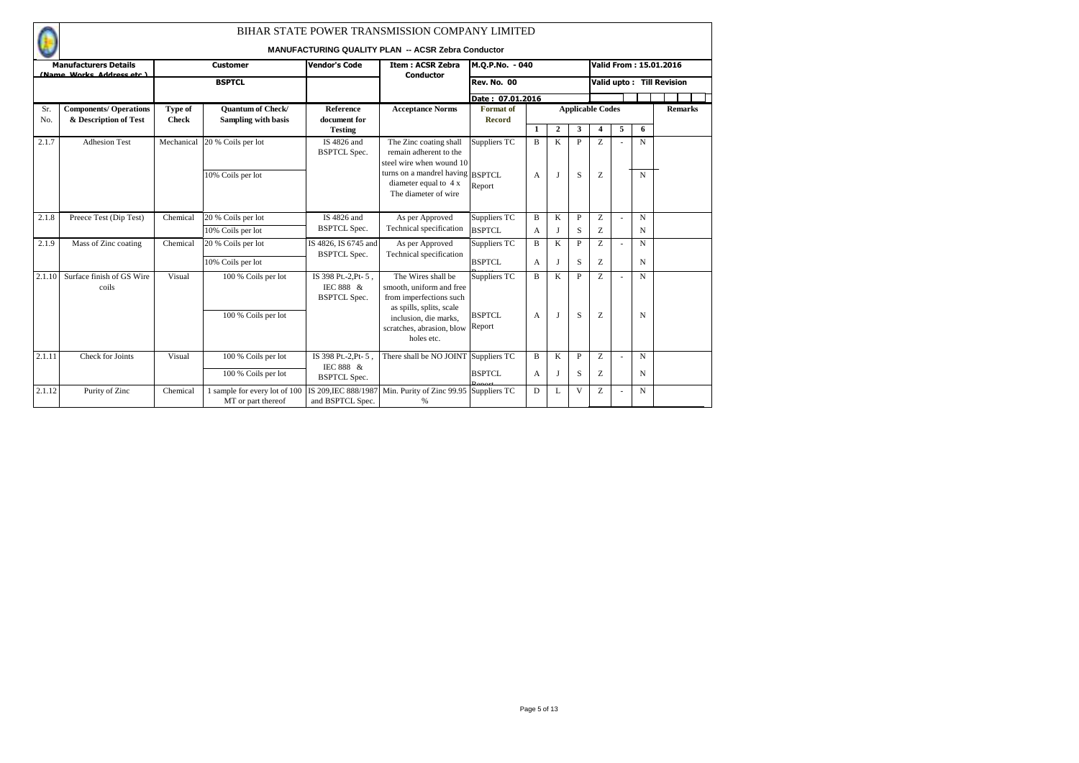|            |                                                        |                         |                                                        |                                                         | BIHAR STATE POWER TRANSMISSION COMPANY LIMITED<br><b>MANUFACTURING QUALITY PLAN -- ACSR Zebra Conductor</b> |                                   |                |              |                   |                         |   |   |                           |
|------------|--------------------------------------------------------|-------------------------|--------------------------------------------------------|---------------------------------------------------------|-------------------------------------------------------------------------------------------------------------|-----------------------------------|----------------|--------------|-------------------|-------------------------|---|---|---------------------------|
|            | <b>Manufacturers Details</b>                           |                         | <b>Customer</b>                                        | <b>Vendor's Code</b>                                    | <b>Item: ACSR Zebra</b>                                                                                     | M.Q.P.No. - 040                   |                |              |                   |                         |   |   | Valid From: 15.01.2016    |
|            | (Name Works Address etc.)                              |                         | <b>BSPTCL</b>                                          |                                                         | Conductor                                                                                                   | Rev. No. 00                       |                |              |                   |                         |   |   | Valid upto: Till Revision |
|            |                                                        |                         |                                                        |                                                         |                                                                                                             | Date: 07.01.2016                  |                |              |                   |                         |   |   |                           |
| Sr.<br>No. | <b>Components/ Operations</b><br>& Description of Test | Type of<br><b>Check</b> | <b>Quantum of Check/</b><br><b>Sampling with basis</b> | Reference<br>document for                               | <b>Acceptance Norms</b>                                                                                     | <b>Format</b> of<br><b>Record</b> |                |              |                   | <b>Applicable Codes</b> |   |   | <b>Remarks</b>            |
|            |                                                        |                         |                                                        | <b>Testing</b>                                          |                                                                                                             |                                   | 1              | $\mathbf{2}$ | 3                 | 4                       | 5 | 6 |                           |
| 2.1.7      | <b>Adhesion Test</b>                                   | Mechanical              | 20 % Coils per lot                                     | IS 4826 and<br><b>BSPTCL Spec.</b>                      | The Zinc coating shall<br>remain adherent to the<br>steel wire when wound 10                                | Suppliers TC                      | B              | K            | $\mathbf{P}$      | Z                       |   | N |                           |
|            |                                                        |                         | 10% Coils per lot                                      |                                                         | turns on a mandrel having BSPTCL<br>diameter equal to 4 x<br>The diameter of wire                           | Report                            | $\overline{A}$ | л            | S                 | Z                       |   | N |                           |
| 2.1.8      | Preece Test (Dip Test)                                 | Chemical                | 20 % Coils per lot                                     | IS 4826 and                                             | As per Approved                                                                                             | Suppliers TC                      | B              | K            | P                 | Z                       |   | N |                           |
|            |                                                        |                         | 10% Coils per lot                                      | <b>BSPTCL Spec.</b>                                     | Technical specification                                                                                     | <b>BSPTCL</b>                     | A              | J            | S                 | Z                       |   | N |                           |
| 2.1.9      | Mass of Zinc coating                                   | Chemical                | 20 % Coils per lot                                     | IS 4826, IS 6745 and                                    | As per Approved                                                                                             | Suppliers TC                      | $\bf{B}$       | K            | P                 | Z                       |   | N |                           |
|            |                                                        |                         | 10% Coils per lot                                      | <b>BSPTCL Spec.</b>                                     | Technical specification                                                                                     | <b>BSPTCL</b>                     | A              | $\mathbf I$  | S                 | Z                       |   | N |                           |
| 2.1.10     | Surface finish of GS Wire<br>coils                     | Visual                  | 100 % Coils per lot                                    | IS 398 Pt.-2, Pt-5,<br>IEC 888 &<br><b>BSPTCL Spec.</b> | The Wires shall be<br>smooth, uniform and free<br>from imperfections such<br>as spills, splits, scale       | Suppliers TC<br><b>BSPTCL</b>     | $\bf{B}$       | K<br>л       | $\mathbf{P}$<br>S | Z                       |   | N |                           |
|            |                                                        |                         | 100 % Coils per lot                                    |                                                         | inclusion, die marks.<br>scratches, abrasion, blow<br>holes etc.                                            | Report                            | A              |              |                   | Z                       |   | N |                           |
| 2.1.11     | Check for Joints                                       | Visual                  | 100 % Coils per lot                                    | IS 398 Pt.-2, Pt-5.                                     | There shall be NO JOINT Suppliers TC                                                                        |                                   | B              | K            | P                 | Z                       |   | N |                           |
|            |                                                        |                         | 100 % Coils per lot                                    | IEC 888 &<br><b>BSPTCL Spec.</b>                        |                                                                                                             | <b>BSPTCL</b>                     | А              | J            | S                 | Ζ                       |   | N |                           |
| 2.1.12     | Purity of Zinc                                         | Chemical                | 1 sample for every lot of 100<br>MT or part thereof    | IS 209.IEC 888/1987<br>and BSPTCL Spec.                 | Min. Purity of Zinc 99.95<br>%                                                                              | Suppliers TC                      | D              | L            | V                 | Z                       |   | N |                           |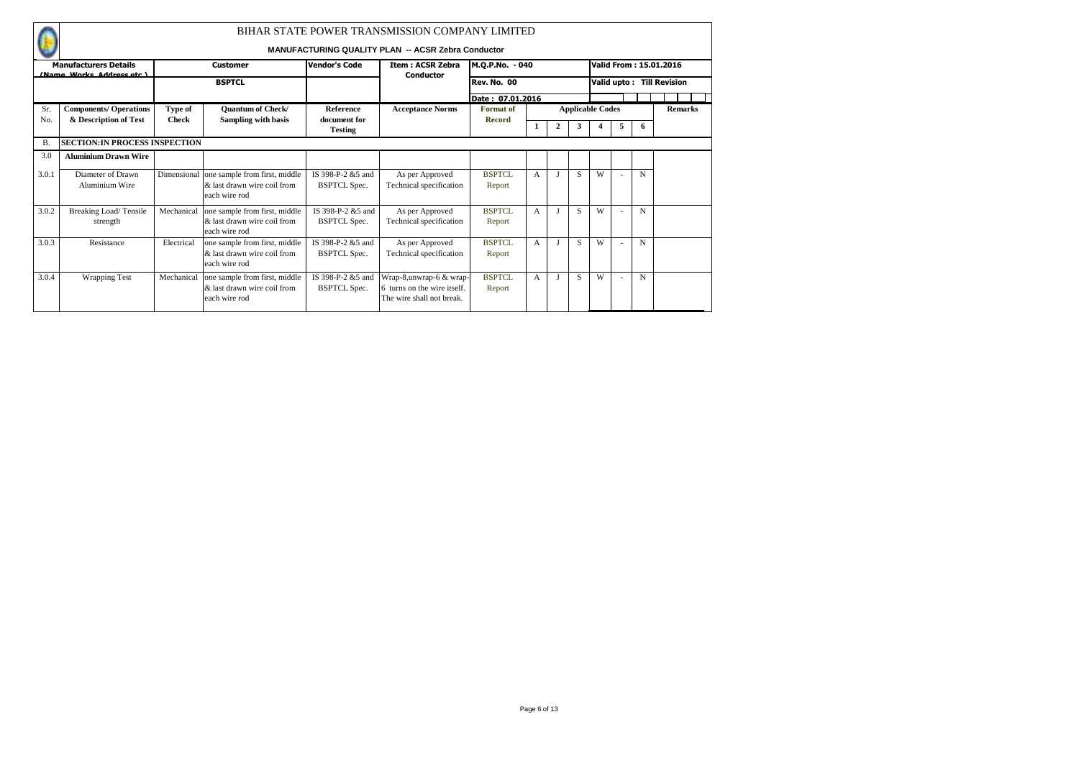|                |                                                           |              |                                                                               |                                           | BIHAR STATE POWER TRANSMISSION COMPANY LIMITED                                      |                         |                |   |    |                         |                          |   |                               |
|----------------|-----------------------------------------------------------|--------------|-------------------------------------------------------------------------------|-------------------------------------------|-------------------------------------------------------------------------------------|-------------------------|----------------|---|----|-------------------------|--------------------------|---|-------------------------------|
|                |                                                           |              |                                                                               |                                           | <b>MANUFACTURING QUALITY PLAN -- ACSR Zebra Conductor</b>                           |                         |                |   |    |                         |                          |   |                               |
|                | <b>Manufacturers Details</b><br>(Name Works Address etc.) |              | <b>Customer</b>                                                               | <b>Vendor's Code</b>                      | <b>Item: ACSR Zebra</b><br>Conductor                                                | M.Q.P.No. - 040         |                |   |    |                         |                          |   | <b>Valid From: 15.01.2016</b> |
|                |                                                           |              | <b>BSPTCL</b>                                                                 |                                           |                                                                                     | <b>Rev. No. 00</b>      |                |   |    |                         |                          |   | Valid upto: Till Revision     |
|                |                                                           |              |                                                                               |                                           |                                                                                     | Date: 07.01.2016        |                |   |    |                         |                          |   |                               |
| Sr.            | <b>Components/ Operations</b>                             | Type of      | <b>Ouantum of Check/</b>                                                      | <b>Reference</b>                          | <b>Acceptance Norms</b>                                                             | <b>Format</b> of        |                |   |    | <b>Applicable Codes</b> |                          |   | <b>Remarks</b>                |
| N <sub>o</sub> | & Description of Test                                     | <b>Check</b> | <b>Sampling with basis</b>                                                    | document for<br><b>Testing</b>            |                                                                                     | <b>Record</b>           |                | 2 | 3  | 4                       | 5                        | 6 |                               |
| $\mathbf{B}$   | <b>SECTION:IN PROCESS INSPECTION</b>                      |              |                                                                               |                                           |                                                                                     |                         |                |   |    |                         |                          |   |                               |
| 3.0            | <b>Aluminium Drawn Wire</b>                               |              |                                                                               |                                           |                                                                                     |                         |                |   |    |                         |                          |   |                               |
| 3.0.1          | Diameter of Drawn<br>Aluminium Wire                       | Dimensional  | one sample from first, middle<br>& last drawn wire coil from<br>each wire rod | IS 398-P-2 & 5 and<br><b>BSPTCL Spec.</b> | As per Approved<br>Technical specification                                          | <b>BSPTCL</b><br>Report | $\mathsf{A}$   |   | S. | W                       |                          | N |                               |
| 3.0.2          | Breaking Load/Tensile<br>strength                         | Mechanical   | one sample from first, middle<br>& last drawn wire coil from<br>each wire rod | IS 398-P-2 & 5 and<br><b>BSPTCL Spec.</b> | As per Approved<br>Technical specification                                          | <b>BSPTCL</b><br>Report | $\mathsf{A}$   |   | S  | W                       |                          | N |                               |
| 3.0.3          | Resistance                                                | Electrical   | one sample from first, middle<br>& last drawn wire coil from<br>each wire rod | IS 398-P-2 & 5 and<br><b>BSPTCL Spec.</b> | As per Approved<br>Technical specification                                          | BSPTCL.<br>Report       | $\mathsf{A}$   |   | S  | W                       | $\overline{\phantom{a}}$ | N |                               |
| 3.0.4          | <b>Wrapping Test</b>                                      | Mechanical   | one sample from first, middle<br>& last drawn wire coil from<br>each wire rod | IS 398-P-2 & 5 and<br><b>BSPTCL Spec.</b> | Wrap-8,unwrap-6 & wrap-<br>6 turns on the wire itself.<br>The wire shall not break. | BSPTCL<br>Report        | $\overline{A}$ |   | S  | W                       | $\overline{\phantom{a}}$ | N |                               |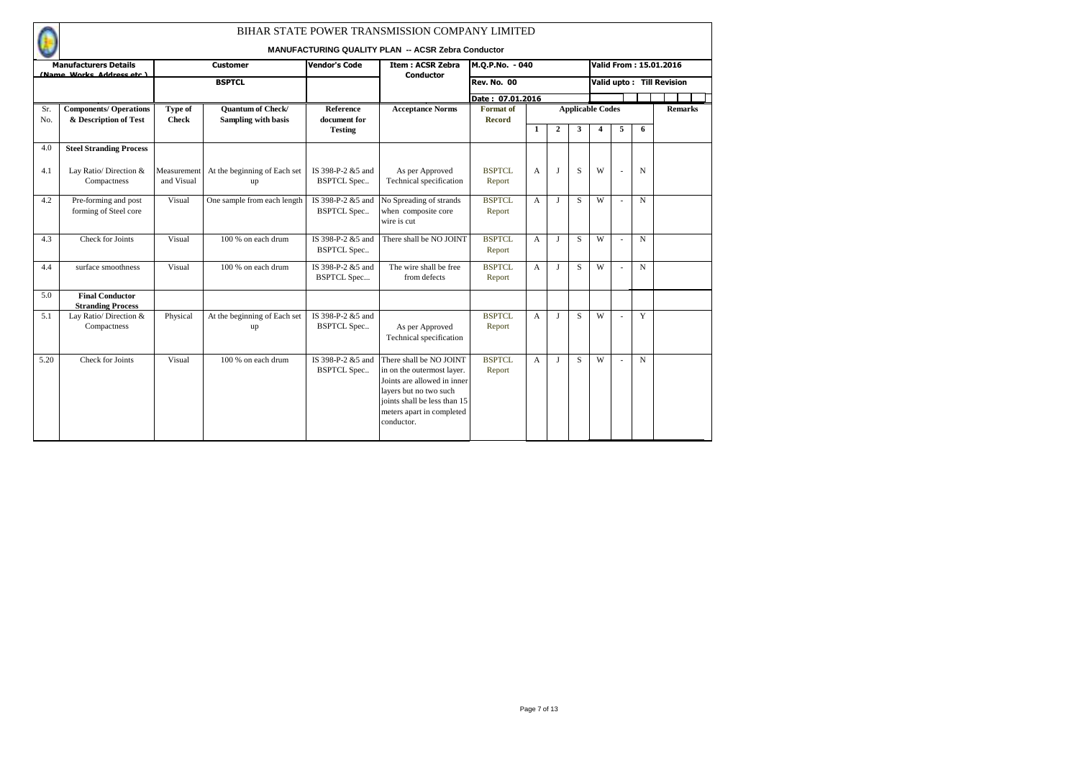|            |                                                        |                           |                                                 |                                          | BIHAR STATE POWER TRANSMISSION COMPANY LIMITED<br><b>MANUFACTURING QUALITY PLAN -- ACSR Zebra Conductor</b>                                                                               |                                   |                |                |                         |                  |   |             |                           |
|------------|--------------------------------------------------------|---------------------------|-------------------------------------------------|------------------------------------------|-------------------------------------------------------------------------------------------------------------------------------------------------------------------------------------------|-----------------------------------|----------------|----------------|-------------------------|------------------|---|-------------|---------------------------|
|            | <b>Manufacturers Details</b>                           |                           | <b>Customer</b>                                 | <b>Vendor's Code</b>                     | <b>Item: ACSR Zebra</b>                                                                                                                                                                   | M.Q.P.No. - 040                   |                |                |                         |                  |   |             | Valid From: 15.01.2016    |
|            | (Name Works Address etc.)                              |                           | <b>BSPTCL</b>                                   |                                          | <b>Conductor</b>                                                                                                                                                                          | Rev. No. 00                       |                |                |                         |                  |   |             | Valid upto: Till Revision |
|            |                                                        |                           |                                                 |                                          |                                                                                                                                                                                           | Date: 07.01.2016                  |                |                |                         |                  |   |             |                           |
| Sr.<br>No. | <b>Components/ Operations</b><br>& Description of Test | Type of<br><b>Check</b>   | <b>Quantum of Check/</b><br>Sampling with basis | <b>Reference</b><br>document for         | <b>Acceptance Norms</b>                                                                                                                                                                   | <b>Format</b> of<br><b>Record</b> |                |                | <b>Applicable Codes</b> |                  |   |             | <b>Remarks</b>            |
|            |                                                        |                           |                                                 | <b>Testing</b>                           |                                                                                                                                                                                           |                                   | 1              | $\overline{2}$ | 3                       | $\boldsymbol{4}$ | 5 | 6           |                           |
| 4.0        | <b>Steel Stranding Process</b>                         |                           |                                                 |                                          |                                                                                                                                                                                           |                                   |                |                |                         |                  |   |             |                           |
| 4.1        | Lay Ratio/ Direction &<br>Compactness                  | Measurement<br>and Visual | At the beginning of Each set<br>up              | IS 398-P-2 & 5 and<br><b>BSPTCL Spec</b> | As per Approved<br>Technical specification                                                                                                                                                | <b>BSPTCL</b><br>Report           | A              | L              | S                       | W                |   | N           |                           |
| 4.2        | Pre-forming and post<br>forming of Steel core          | Visual                    | One sample from each length                     | IS 398-P-2 &5 and<br><b>BSPTCL Spec</b>  | No Spreading of strands<br>when composite core<br>wire is cut                                                                                                                             | <b>BSPTCL</b><br>Report           | A              | J              | S                       | W                |   | N           |                           |
| 4.3        | Check for Joints                                       | Visual                    | 100 % on each drum                              | IS 398-P-2 &5 and<br><b>BSPTCL Spec</b>  | There shall be NO JOINT                                                                                                                                                                   | <b>BSPTCL</b><br>Report           | A              | L              | S                       | W                |   | N           |                           |
| 4.4        | surface smoothness                                     | Visual                    | 100 % on each drum                              | IS 398-P-2 &5 and<br><b>BSPTCL Spec</b>  | The wire shall be free<br>from defects                                                                                                                                                    | <b>BSPTCL</b><br>Report           | $\overline{A}$ | J              | S                       | W                |   | $\mathbf N$ |                           |
| 5.0        | <b>Final Conductor</b>                                 |                           |                                                 |                                          |                                                                                                                                                                                           |                                   |                |                |                         |                  |   |             |                           |
|            | <b>Stranding Process</b>                               |                           |                                                 | IS 398-P-2 &5 and                        |                                                                                                                                                                                           | <b>BSPTCL</b>                     |                |                | S                       | W                |   | Y           |                           |
| 5.1        | Lay Ratio/ Direction &<br>Compactness                  | Physical                  | At the beginning of Each set<br>up              | <b>BSPTCL Spec</b>                       | As per Approved<br>Technical specification                                                                                                                                                | Report                            | A              | J              |                         |                  |   |             |                           |
| 5.20       | Check for Joints                                       | Visual                    | $100%$ on each drum                             | IS 398-P-2 &5 and<br><b>BSPTCL Spec</b>  | There shall be NO JOINT<br>in on the outermost layer.<br>Joints are allowed in inner<br>layers but no two such<br>joints shall be less than 15<br>meters apart in completed<br>conductor. | BSPTCL<br>Report                  | A              | $\mathbf{I}$   | S                       | W                |   | N           |                           |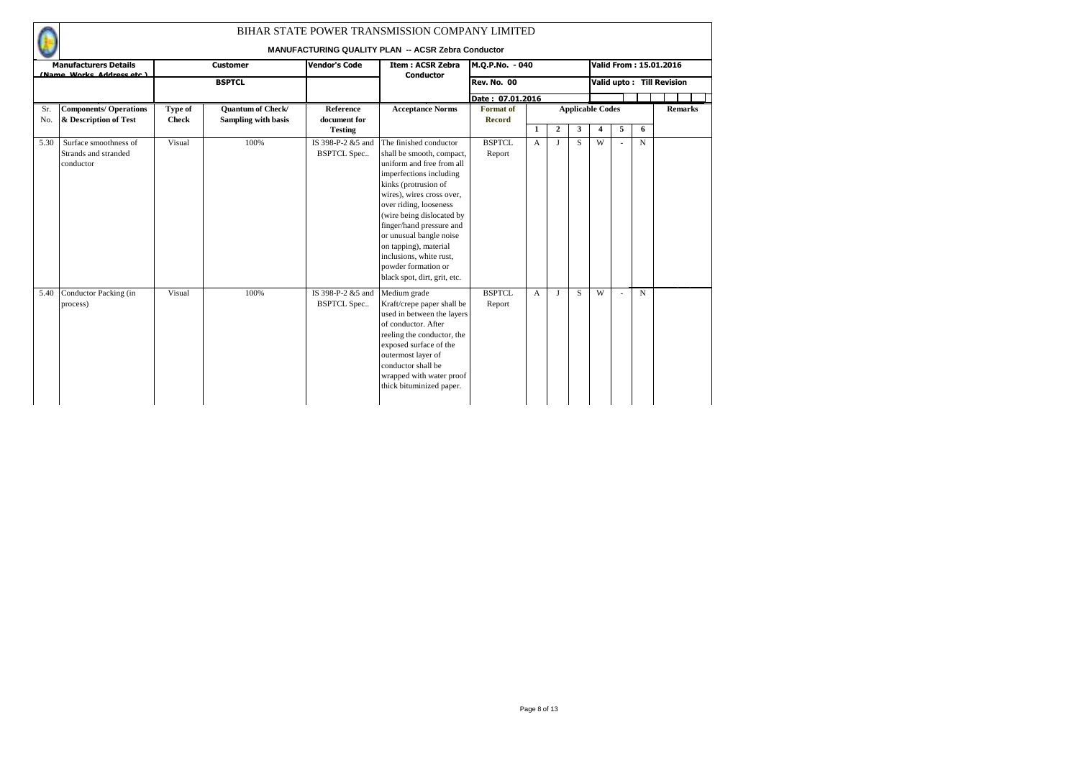|      |                                                            |              |                          |                                         | BIHAR STATE POWER TRANSMISSION COMPANY LIMITED<br><b>MANUFACTURING QUALITY PLAN -- ACSR Zebra Conductor</b>                                                                                                                                                                                                                                                                               |                         |              |                |                         |   |   |             |                           |                |  |
|------|------------------------------------------------------------|--------------|--------------------------|-----------------------------------------|-------------------------------------------------------------------------------------------------------------------------------------------------------------------------------------------------------------------------------------------------------------------------------------------------------------------------------------------------------------------------------------------|-------------------------|--------------|----------------|-------------------------|---|---|-------------|---------------------------|----------------|--|
|      | <b>Manufacturers Details</b>                               |              | <b>Customer</b>          | <b>Vendor's Code</b>                    | <b>Item: ACSR Zebra</b>                                                                                                                                                                                                                                                                                                                                                                   | M.Q.P.No. - 040         |              |                |                         |   |   |             | Valid From: 15.01.2016    |                |  |
|      | (Name Works Address etc.)                                  |              | <b>BSPTCL</b>            |                                         | <b>Conductor</b>                                                                                                                                                                                                                                                                                                                                                                          | <b>Rev. No. 00</b>      |              |                |                         |   |   |             | Valid upto: Till Revision |                |  |
|      |                                                            |              |                          |                                         |                                                                                                                                                                                                                                                                                                                                                                                           | Date: 07.01.2016        |              |                |                         |   |   |             |                           |                |  |
| Sr.  | <b>Components/ Operations</b>                              | Type of      | <b>Quantum of Check/</b> | Reference                               | <b>Acceptance Norms</b>                                                                                                                                                                                                                                                                                                                                                                   | Format of               |              |                | <b>Applicable Codes</b> |   |   |             |                           | <b>Remarks</b> |  |
| No.  | & Description of Test                                      | <b>Check</b> | Sampling with basis      | document for<br><b>Testing</b>          |                                                                                                                                                                                                                                                                                                                                                                                           | <b>Record</b>           | 1            | $\overline{2}$ | 3                       | 4 | 5 | 6           |                           |                |  |
| 5.30 | Surface smoothness of<br>Strands and stranded<br>conductor | Visual       | 100%                     | IS 398-P-2 &5 and<br><b>BSPTCL Spec</b> | The finished conductor<br>shall be smooth, compact,<br>uniform and free from all<br>imperfections including<br>kinks (protrusion of<br>wires), wires cross over,<br>over riding, looseness<br>(wire being dislocated by<br>finger/hand pressure and<br>or unusual bangle noise<br>on tapping), material<br>inclusions, white rust,<br>powder formation or<br>black spot, dirt, grit, etc. | BSPTCL<br>Report        | $\mathsf{A}$ | $\bf{J}$       | S.                      | W |   | $\mathbf N$ |                           |                |  |
| 5.40 | Conductor Packing (in<br>process)                          | Visual       | 100%                     | IS 398-P-2 &5 and<br><b>BSPTCL Spec</b> | Medium grade<br>Kraft/crepe paper shall be<br>used in between the layers<br>of conductor. After<br>reeling the conductor, the<br>exposed surface of the<br>outermost layer of<br>conductor shall be<br>wrapped with water proof<br>thick bituminized paper.                                                                                                                               | <b>BSPTCL</b><br>Report | A            | $\mathbf{I}$   | S.                      | W |   | $\mathbf N$ |                           |                |  |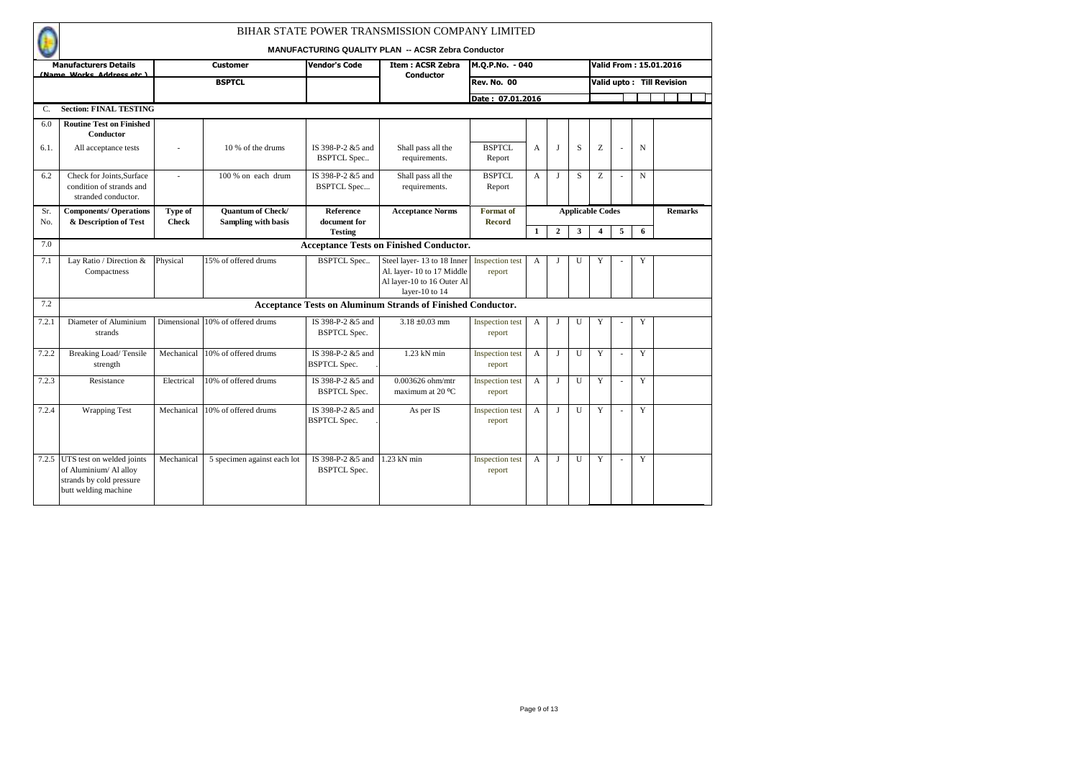|            |                                                                                                         |                         |                                                 |                                           | BIHAR STATE POWER TRANSMISSION COMPANY LIMITED                                                          |                                   |              |                |                         |   |    |   |                           |
|------------|---------------------------------------------------------------------------------------------------------|-------------------------|-------------------------------------------------|-------------------------------------------|---------------------------------------------------------------------------------------------------------|-----------------------------------|--------------|----------------|-------------------------|---|----|---|---------------------------|
|            | <b>Manufacturers Details</b>                                                                            |                         | <b>Customer</b>                                 | <b>Vendor's Code</b>                      | <b>MANUFACTURING QUALITY PLAN -- ACSR Zebra Conductor</b><br><b>Item: ACSR Zebra</b>                    | M.Q.P.No. - 040                   |              |                |                         |   |    |   | Valid From: 15.01.2016    |
|            | (Name Works Address etc.)                                                                               |                         | <b>BSPTCL</b>                                   |                                           | Conductor                                                                                               | <b>Rev. No. 00</b>                |              |                |                         |   |    |   | Valid upto: Till Revision |
|            |                                                                                                         |                         |                                                 |                                           |                                                                                                         | Date: 07.01.2016                  |              |                |                         |   |    |   |                           |
| C.         | <b>Section: FINAL TESTING</b>                                                                           |                         |                                                 |                                           |                                                                                                         |                                   |              |                |                         |   |    |   |                           |
| 6.0        | <b>Routine Test on Finished</b><br>Conductor                                                            |                         |                                                 |                                           |                                                                                                         |                                   |              |                |                         |   |    |   |                           |
| 6.1.       | All acceptance tests                                                                                    |                         | 10 % of the drums                               | IS 398-P-2 &5 and<br><b>BSPTCL Spec</b>   | Shall pass all the<br>requirements.                                                                     | <b>BSPTCL</b><br>Report           | A            | $\mathbf{J}$   | S                       | Z |    | N |                           |
| 6.2        | Check for Joints, Surface<br>condition of strands and<br>stranded conductor.                            | ÷,                      | 100 % on each drum                              | IS 398-P-2 &5 and<br><b>BSPTCL Spec</b>   | Shall pass all the<br>requirements.                                                                     | <b>BSPTCL</b><br>Report           | A            | $\mathbf{J}$   | S                       | Z |    | N |                           |
| Sr.<br>No. | <b>Components/ Operations</b><br>& Description of Test                                                  | Type of<br><b>Check</b> | <b>Quantum of Check/</b><br>Sampling with basis | <b>Reference</b><br>document for          | <b>Acceptance Norms</b>                                                                                 | <b>Format</b> of<br><b>Record</b> |              |                | <b>Applicable Codes</b> |   |    |   | <b>Remarks</b>            |
| 7.0        |                                                                                                         |                         |                                                 | <b>Testing</b>                            | <b>Acceptance Tests on Finished Conductor.</b>                                                          |                                   | $\mathbf{1}$ | $\overline{2}$ | 3                       | 4 | 5  | 6 |                           |
|            |                                                                                                         |                         |                                                 |                                           |                                                                                                         |                                   |              |                |                         |   |    |   |                           |
| 7.1        | Lay Ratio / Direction &<br>Compactness                                                                  | Physical                | 15% of offered drums                            | <b>BSPTCL Spec</b>                        | Steel layer-13 to 18 Inner<br>Al. layer-10 to 17 Middle<br>Al layer-10 to 16 Outer Al<br>layer-10 to 14 | Inspection test<br>report         | A            | J              | U                       | Y |    | Y |                           |
| 7.2        |                                                                                                         |                         |                                                 |                                           | <b>Acceptance Tests on Aluminum Strands of Finished Conductor.</b>                                      |                                   |              |                |                         |   |    |   |                           |
| 7.2.1      | Diameter of Aluminium<br>strands                                                                        |                         | Dimensional 10% of offered drums                | IS 398-P-2 &5 and<br><b>BSPTCL Spec.</b>  | $3.18 \pm 0.03$ mm                                                                                      | Inspection test<br>report         | $\mathbf{A}$ | $\mathbf{J}$   | $\mathbf{U}$            | Y |    | Y |                           |
| 7.2.2      | Breaking Load/Tensile<br>strength                                                                       | Mechanical              | 10% of offered drums                            | IS 398-P-2 & 5 and<br><b>BSPTCL Spec.</b> | $1.23$ kN min                                                                                           | Inspection test<br>report         | A            | $\mathbf{J}$   | U                       | Y | J. | Y |                           |
| 7.2.3      | Resistance                                                                                              | Electrical              | 10% of offered drums                            | IS 398-P-2 &5 and<br><b>BSPTCL Spec.</b>  | 0.003626 ohm/mtr<br>maximum at 20 °C                                                                    | Inspection test<br>report         | A            | J              | U                       | Y |    | Y |                           |
| 7.2.4      | <b>Wrapping Test</b>                                                                                    | Mechanical              | 10% of offered drums                            | IS 398-P-2 &5 and<br><b>BSPTCL Spec.</b>  | As per IS                                                                                               | Inspection test<br>report         | A            | $\bf{J}$       | U                       | Y | ÷. | Y |                           |
| 7.2.5      | UTS test on welded joints<br>of Aluminium/ Al alloy<br>strands by cold pressure<br>butt welding machine | Mechanical              | 5 specimen against each lot                     | IS 398-P-2 &5 and<br><b>BSPTCL Spec.</b>  | 1.23 kN min                                                                                             | Inspection test<br>report         | A            | $\mathbf{I}$   | U                       | Y | J. | Y |                           |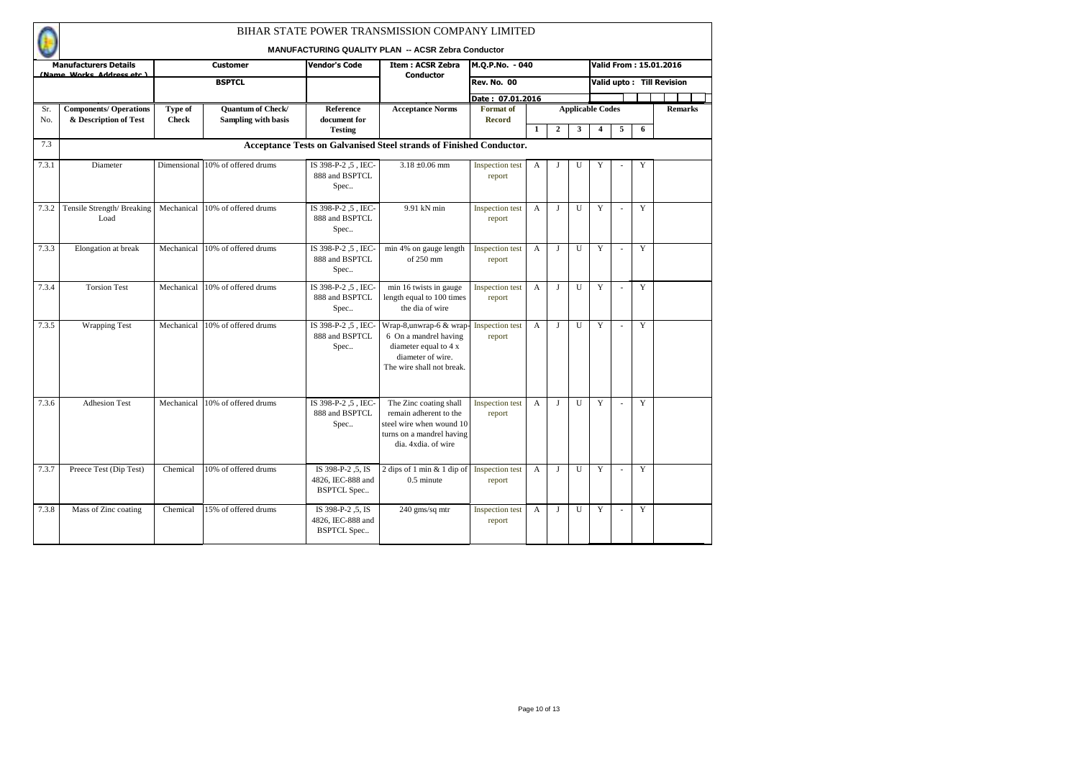|            |                                                        |                         |                                                 |                                                              | BIHAR STATE POWER TRANSMISSION COMPANY LIMITED<br>MANUFACTURING QUALITY PLAN -- ACSR Zebra Conductor                             |                                  |                |              |                         |                         |    |                |                           |
|------------|--------------------------------------------------------|-------------------------|-------------------------------------------------|--------------------------------------------------------------|----------------------------------------------------------------------------------------------------------------------------------|----------------------------------|----------------|--------------|-------------------------|-------------------------|----|----------------|---------------------------|
|            | <b>Manufacturers Details</b>                           |                         | <b>Customer</b>                                 | <b>Vendor's Code</b>                                         | <b>Item: ACSR Zebra</b>                                                                                                          | M.Q.P.No. - 040                  |                |              |                         |                         |    |                | Valid From: 15.01.2016    |
|            | (Name Works Address etc.)                              |                         | <b>BSPTCL</b>                                   |                                                              | <b>Conductor</b>                                                                                                                 | <b>Rev. No. 00</b>               |                |              |                         |                         |    |                | Valid upto: Till Revision |
|            |                                                        |                         |                                                 |                                                              |                                                                                                                                  | Date: 07.01.2016                 |                |              |                         |                         |    |                |                           |
| Sr.<br>No. | <b>Components/ Operations</b><br>& Description of Test | Type of<br><b>Check</b> | Quantum of Check/<br><b>Sampling with basis</b> | Reference<br>document for                                    | <b>Acceptance Norms</b>                                                                                                          | Format of<br><b>Record</b>       |                |              | <b>Applicable Codes</b> |                         |    |                | <b>Remarks</b>            |
|            |                                                        |                         |                                                 | <b>Testing</b>                                               |                                                                                                                                  |                                  | $\mathbf{1}$   | $\mathbf{2}$ | 3                       | $\overline{\mathbf{4}}$ | 5  | 6              |                           |
| 7.3        |                                                        |                         |                                                 |                                                              | Acceptance Tests on Galvanised Steel strands of Finished Conductor.                                                              |                                  |                |              |                         |                         |    |                |                           |
| 7.3.1      | Diameter                                               |                         | Dimensional 10% of offered drums                | IS 398-P-2, 5, IEC-<br>888 and BSPTCL<br>Spec                | $3.18 \pm 0.06$ mm                                                                                                               | Inspection test<br>report        | A              | J            | U                       | Y                       |    | Y              |                           |
| 7.3.2      | Tensile Strength/Breaking<br>Load                      | Mechanical              | 10% of offered drums                            | IS 398-P-2.5, IEC-<br>888 and BSPTCL<br>Spec                 | 9.91 kN min                                                                                                                      | Inspection test<br>report        | $\overline{A}$ | $\bf{J}$     | U                       | Y                       | ÷  | Y              |                           |
| 7.3.3      | Elongation at break                                    | Mechanical              | 10% of offered drums                            | IS 398-P-2.5. IEC-<br>888 and BSPTCL<br>Spec                 | min 4% on gauge length<br>of 250 mm                                                                                              | Inspection test<br>report        | $\overline{A}$ | $\bf{J}$     | $\mathbf{U}$            | Y                       | ÷  | Y              |                           |
| 7.3.4      | <b>Torsion Test</b>                                    | Mechanical              | 10% of offered drums                            | IS 398-P-2.5, IEC-<br>888 and BSPTCL<br>Spec                 | min 16 twists in gauge<br>length equal to 100 times<br>the dia of wire                                                           | <b>Inspection test</b><br>report | A              | J            | U                       | Y                       |    | Y              |                           |
| 7.3.5      | <b>Wrapping Test</b>                                   | Mechanical              | 10% of offered drums                            | IS 398-P-2.5, IEC-<br>888 and BSPTCL<br>Spec                 | Wrap-8,unwrap-6 & wrap<br>6 On a mandrel having<br>diameter equal to 4 x<br>diameter of wire.<br>The wire shall not break.       | Inspection test<br>report        | $\overline{A}$ | $\bf{J}$     | U                       | Y                       | ÷  | Y              |                           |
| 7.3.6      | <b>Adhesion Test</b>                                   | Mechanical              | 10% of offered drums                            | IS 398-P-2.5. IEC-<br>888 and BSPTCL<br>Spec                 | The Zinc coating shall<br>remain adherent to the<br>steel wire when wound 10<br>turns on a mandrel having<br>dia, 4xdia, of wire | Inspection test<br>report        | $\mathbf{A}$   | $\bf{J}$     | $\mathbf{U}$            | Y                       |    | $\overline{Y}$ |                           |
| 7.3.7      | Preece Test (Dip Test)                                 | Chemical                | 10% of offered drums                            | IS 398-P-2 .5. IS<br>4826. IEC-888 and<br><b>BSPTCL Spec</b> | 2 dips of 1 min $&$ 1 dip of<br>$0.5$ minute                                                                                     | Inspection test<br>report        | $\mathbf{A}$   | л            | U                       | Y                       | ÷. | Y              |                           |
| 7.3.8      | Mass of Zinc coating                                   | Chemical                | 15% of offered drums                            | IS 398-P-2, 5, IS<br>4826, IEC-888 and<br><b>BSPTCL Spec</b> | 240 gms/sq mtr                                                                                                                   | Inspection test<br>report        | A              | J            | U                       | Y                       |    | Y              |                           |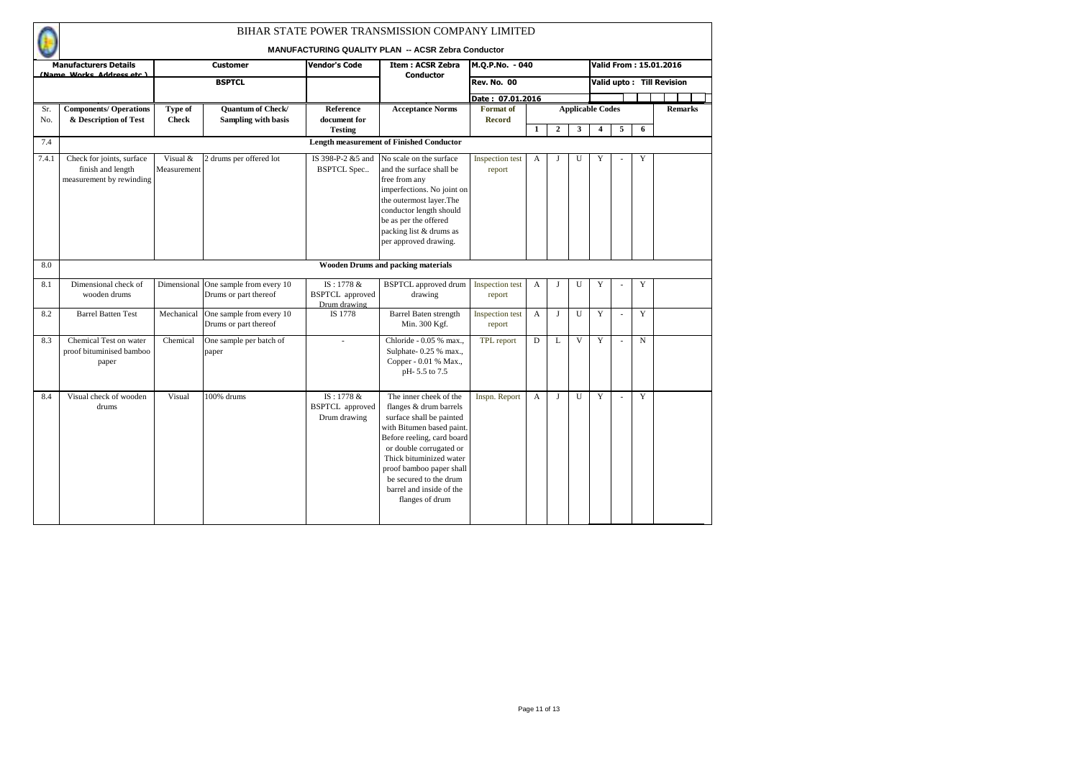|            |                                                                            |                         |                                                               |                                                      | BIHAR STATE POWER TRANSMISSION COMPANY LIMITED<br><b>MANUFACTURING QUALITY PLAN -- ACSR Zebra Conductor</b>                                                                                                                                                                                        |                                  |              |                |   |                                                    |    |             |                           |                |
|------------|----------------------------------------------------------------------------|-------------------------|---------------------------------------------------------------|------------------------------------------------------|----------------------------------------------------------------------------------------------------------------------------------------------------------------------------------------------------------------------------------------------------------------------------------------------------|----------------------------------|--------------|----------------|---|----------------------------------------------------|----|-------------|---------------------------|----------------|
|            | <b>Manufacturers Details</b>                                               |                         | <b>Customer</b>                                               | <b>Vendor's Code</b>                                 | <b>Item: ACSR Zebra</b>                                                                                                                                                                                                                                                                            | M.Q.P.No. - 040                  |              |                |   |                                                    |    |             | Valid From: 15.01.2016    |                |
|            | (Name Works Address etc.)                                                  |                         | <b>BSPTCL</b>                                                 |                                                      | <b>Conductor</b>                                                                                                                                                                                                                                                                                   | <b>Rev. No. 00</b>               |              |                |   |                                                    |    |             | Valid upto: Till Revision |                |
|            |                                                                            |                         |                                                               |                                                      |                                                                                                                                                                                                                                                                                                    | Date: 07.01.2016                 |              |                |   |                                                    |    |             |                           |                |
| Sr.<br>No. | <b>Components/ Operations</b><br>& Description of Test                     | Type of<br><b>Check</b> | <b>Quantum of Check/</b><br><b>Sampling with basis</b>        | Reference<br>document for<br><b>Testing</b>          | <b>Acceptance Norms</b>                                                                                                                                                                                                                                                                            | Format of<br><b>Record</b>       | $\mathbf{1}$ | $\overline{2}$ | 3 | <b>Applicable Codes</b><br>$\overline{\mathbf{4}}$ | 5  | 6           |                           | <b>Remarks</b> |
| 7.4        |                                                                            |                         |                                                               |                                                      | <b>Length measurement of Finished Conductor</b>                                                                                                                                                                                                                                                    |                                  |              |                |   |                                                    |    |             |                           |                |
| 7.4.1      | Check for joints, surface<br>finish and length<br>measurement by rewinding | Visual &<br>Measurement | 2 drums per offered lot                                       | IS 398-P-2 &5 and<br><b>BSPTCL Spec</b>              | No scale on the surface<br>and the surface shall be<br>free from any<br>imperfections. No joint on<br>the outermost layer.The<br>conductor length should<br>be as per the offered<br>packing list & drums as<br>per approved drawing.                                                              | <b>Inspection test</b><br>report | A            | J              | U | Y                                                  |    | Y           |                           |                |
| 8.0        |                                                                            |                         |                                                               |                                                      | <b>Wooden Drums and packing materials</b>                                                                                                                                                                                                                                                          |                                  |              |                |   |                                                    |    |             |                           |                |
| 8.1        | Dimensional check of<br>wooden drums                                       |                         | Dimensional One sample from every 10<br>Drums or part thereof | IS: 1778 &<br><b>BSPTCL</b> approved<br>Drum drawing | <b>BSPTCL</b> approved drum<br>drawing                                                                                                                                                                                                                                                             | <b>Inspection</b> test<br>report | A            | J              | U | Y                                                  |    | Y           |                           |                |
| 8.2        | <b>Barrel Batten Test</b>                                                  | Mechanical              | One sample from every 10<br>Drums or part thereof             | IS 1778                                              | <b>Barrel Baten strength</b><br>Min. 300 Kgf.                                                                                                                                                                                                                                                      | <b>Inspection</b> test<br>report | A            | J              | U | Y                                                  |    | Y           |                           |                |
| 8.3        | Chemical Test on water<br>proof bituminised bamboo<br>paper                | Chemical                | One sample per batch of<br>paper                              |                                                      | Chloride - 0.05 % max<br>Sulphate-0.25 % max.,<br>Copper - 0.01 % Max.,<br>pH-5.5 to 7.5                                                                                                                                                                                                           | TPL report                       | D            | L              | V | Y                                                  | ä, | $\mathbf N$ |                           |                |
| 8.4        | Visual check of wooden<br>drums                                            | Visual                  | 100% drums                                                    | IS: 1778 &<br><b>BSPTCL</b> approved<br>Drum drawing | The inner cheek of the<br>flanges & drum barrels<br>surface shall be painted<br>with Bitumen based paint.<br>Before reeling, card board<br>or double corrugated or<br>Thick bituminized water<br>proof bamboo paper shall<br>be secured to the drum<br>barrel and inside of the<br>flanges of drum | Inspn. Report                    | A            | $\mathbf I$    | U | Y                                                  |    | Y           |                           |                |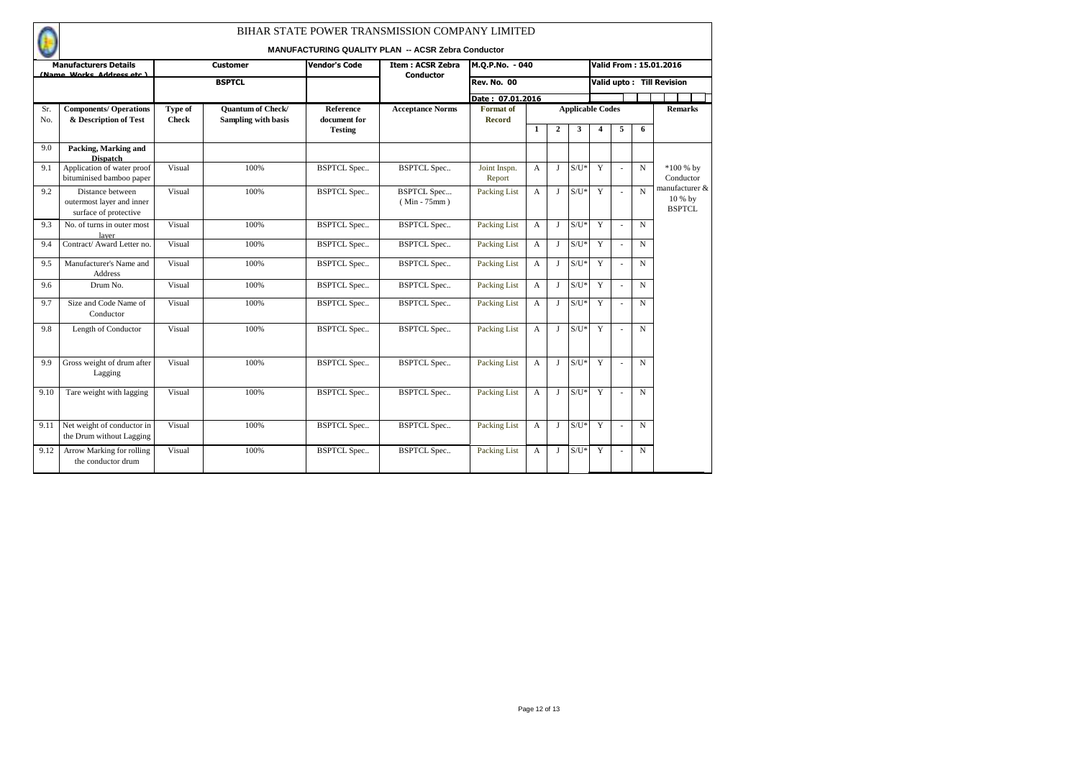|            |                                                                        |                         |                                                 |                                  | BIHAR STATE POWER TRANSMISSION COMPANY LIMITED<br><b>MANUFACTURING QUALITY PLAN -- ACSR Zebra Conductor</b> |                                   |              |                |                         |                         |                          |             |                                            |
|------------|------------------------------------------------------------------------|-------------------------|-------------------------------------------------|----------------------------------|-------------------------------------------------------------------------------------------------------------|-----------------------------------|--------------|----------------|-------------------------|-------------------------|--------------------------|-------------|--------------------------------------------|
|            | <b>Manufacturers Details</b>                                           |                         | <b>Customer</b>                                 | Vendor's Code                    | <b>Item: ACSR Zebra</b>                                                                                     | M.Q.P.No. - 040                   |              |                |                         |                         |                          |             | Valid From: 15.01.2016                     |
|            | (Name Works Address etc.)                                              |                         | <b>BSPTCL</b>                                   |                                  | Conductor                                                                                                   | <b>Rev. No. 00</b>                |              |                |                         |                         |                          |             | Valid upto: Till Revision                  |
|            |                                                                        |                         |                                                 |                                  |                                                                                                             | Date: 07.01.2016                  |              |                |                         |                         |                          |             |                                            |
| Sr.<br>No. | <b>Components/ Operations</b><br>& Description of Test                 | Type of<br><b>Check</b> | <b>Quantum of Check/</b><br>Sampling with basis | <b>Reference</b><br>document for | <b>Acceptance Norms</b>                                                                                     | <b>Format</b> of<br><b>Record</b> |              |                | <b>Applicable Codes</b> |                         |                          |             | <b>Remarks</b>                             |
|            |                                                                        |                         |                                                 | <b>Testing</b>                   |                                                                                                             |                                   | $\mathbf{1}$ | $\overline{2}$ | 3                       | $\overline{\mathbf{4}}$ | 5                        | 6           |                                            |
| 9.0        | Packing, Marking and<br><b>Dispatch</b>                                |                         |                                                 |                                  |                                                                                                             |                                   |              |                |                         |                         |                          |             |                                            |
| 9.1        | Application of water proof<br>bituminised bamboo paper                 | Visual                  | 100%                                            | <b>BSPTCL Spec</b>               | <b>BSPTCL Spec</b>                                                                                          | Joint Inspn.<br>Report            | A            | $\bf{J}$       | $S/U^*$                 | Y                       | $\overline{\phantom{a}}$ | $\mathbf N$ | $*100%$ by<br>Conductor                    |
| 9.2        | Distance between<br>outermost layer and inner<br>surface of protective | Visual                  | 100%                                            | <b>BSPTCL Spec</b>               | <b>BSPTCL Spec</b><br>$(Min - 75mm)$                                                                        | Packing List                      | $\mathbf{A}$ | $\mathbf{I}$   | $S/U^*$                 | Y                       | ٠                        | N           | manufacturer &<br>10 % by<br><b>BSPTCL</b> |
| 9.3        | No. of turns in outer most<br>laver                                    | Visual                  | 100%                                            | <b>BSPTCL Spec</b>               | <b>BSPTCL Spec</b>                                                                                          | Packing List                      | $\mathbf{A}$ | $\bf{J}$       | $S/U^*$                 | $\overline{Y}$          | ÷                        | $\mathbf N$ |                                            |
| 9.4        | Contract/Award Letter no.                                              | Visual                  | 100%                                            | <b>BSPTCL Spec</b>               | <b>BSPTCL Spec</b>                                                                                          | Packing List                      | $\mathbf{A}$ | $\bf{J}$       | $S/U^*$                 | Y                       |                          | $\mathbf N$ |                                            |
| 9.5        | Manufacturer's Name and<br><b>Address</b>                              | Visual                  | 100%                                            | <b>BSPTCL Spec</b>               | <b>BSPTCL Spec</b>                                                                                          | Packing List                      | $\mathbf{A}$ | $\bf{J}$       | $S/U^*$                 | Y                       |                          | $\mathbf N$ |                                            |
| 9.6        | Drum No.                                                               | Visual                  | 100%                                            | <b>BSPTCL Spec</b>               | <b>BSPTCL Spec</b>                                                                                          | Packing List                      | $\mathbf{A}$ | J              | $S/U^*$                 | Y                       | J.                       | $\mathbf N$ |                                            |
| 9.7        | Size and Code Name of<br>Conductor                                     | Visual                  | 100%                                            | <b>BSPTCL Spec</b>               | <b>BSPTCL Spec</b>                                                                                          | Packing List                      | $\mathbf{A}$ | J              | $S/U^*$                 | Y                       |                          | $\mathbf N$ |                                            |
| 9.8        | Length of Conductor                                                    | Visual                  | 100%                                            | <b>BSPTCL Spec</b>               | <b>BSPTCL Spec</b>                                                                                          | Packing List                      | $\mathbf{A}$ | $\mathbf{J}$   | $S/U^*$                 | Y                       | ٠                        | $\mathbf N$ |                                            |
| 9.9        | Gross weight of drum after<br>Lagging                                  | Visual                  | 100%                                            | <b>BSPTCL Spec</b>               | <b>BSPTCL Spec</b>                                                                                          | Packing List                      | A            | $\mathbf{I}$   | $S/U^*$                 | Y                       |                          | $\mathbf N$ |                                            |
| 9.10       | Tare weight with lagging                                               | Visual                  | 100%                                            | <b>BSPTCL Spec</b>               | <b>BSPTCL Spec</b>                                                                                          | Packing List                      | $\mathbf{A}$ | $\bf{J}$       | $S/U^*$                 | Y                       |                          | $\mathbf N$ |                                            |
| 9.11       | Net weight of conductor in<br>the Drum without Lagging                 | Visual                  | 100%                                            | <b>BSPTCL Spec</b>               | <b>BSPTCL Spec</b>                                                                                          | Packing List                      | $\mathbf{A}$ | $\bf{J}$       | $S/U^*$                 | Y                       |                          | $\mathbf N$ |                                            |
| 9.12       | Arrow Marking for rolling<br>the conductor drum                        | Visual                  | 100%                                            | <b>BSPTCL Spec</b>               | <b>BSPTCL Spec</b>                                                                                          | Packing List                      | $\mathbf{A}$ | J              | $S/U^*$                 | Y                       |                          | $\mathbf N$ |                                            |